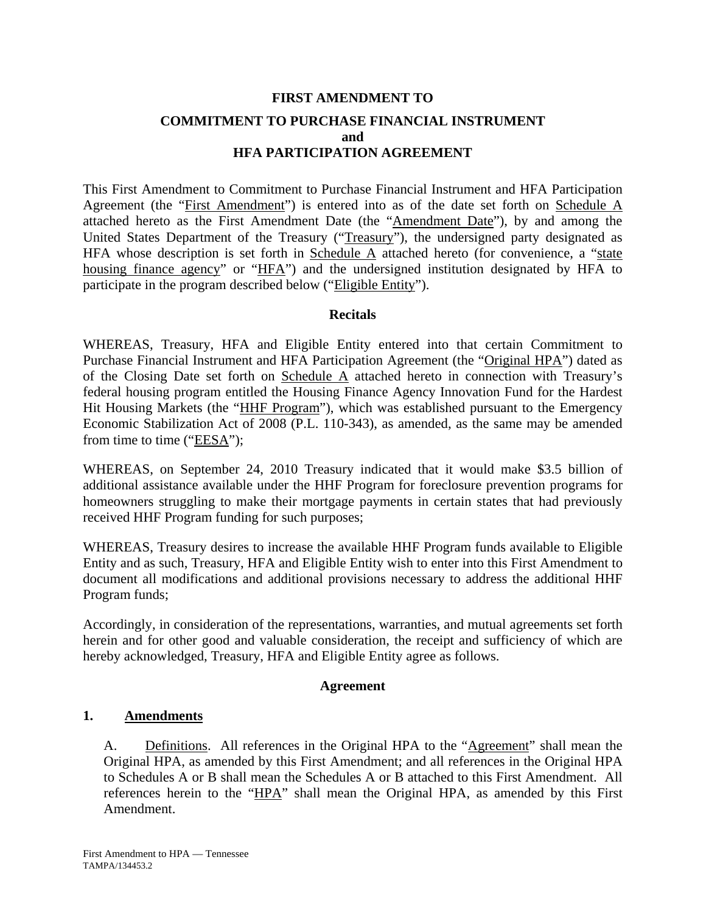### **FIRST AMENDMENT TO COMMITMENT TO PURCHASE FINANCIAL INSTRUMENT and HFA PARTICIPATION AGREEMENT**

This First Amendment to Commitment to Purchase Financial Instrument and HFA Participation Agreement (the "First Amendment") is entered into as of the date set forth on Schedule A attached hereto as the First Amendment Date (the "Amendment Date"), by and among the United States Department of the Treasury ("Treasury"), the undersigned party designated as HFA whose description is set forth in Schedule  $\overline{A}$  attached hereto (for convenience, a "state housing finance agency" or "HFA") and the undersigned institution designated by HFA to participate in the program described below ("Eligible Entity").

#### **Recitals**

WHEREAS, Treasury, HFA and Eligible Entity entered into that certain Commitment to Purchase Financial Instrument and HFA Participation Agreement (the "Original HPA") dated as of the Closing Date set forth on Schedule A attached hereto in connection with Treasury's federal housing program entitled the Housing Finance Agency Innovation Fund for the Hardest Hit Housing Markets (the "HHF Program"), which was established pursuant to the Emergency Economic Stabilization Act of 2008 (P.L. 110-343), as amended, as the same may be amended from time to time ("EESA");

WHEREAS, on September 24, 2010 Treasury indicated that it would make \$3.5 billion of additional assistance available under the HHF Program for foreclosure prevention programs for homeowners struggling to make their mortgage payments in certain states that had previously received HHF Program funding for such purposes;

WHEREAS, Treasury desires to increase the available HHF Program funds available to Eligible Entity and as such, Treasury, HFA and Eligible Entity wish to enter into this First Amendment to document all modifications and additional provisions necessary to address the additional HHF Program funds;

Accordingly, in consideration of the representations, warranties, and mutual agreements set forth herein and for other good and valuable consideration, the receipt and sufficiency of which are hereby acknowledged, Treasury, HFA and Eligible Entity agree as follows.

#### **Agreement**

#### **1. Amendments**

A. Definitions. All references in the Original HPA to the "Agreement" shall mean the Original HPA, as amended by this First Amendment; and all references in the Original HPA to Schedules A or B shall mean the Schedules A or B attached to this First Amendment. All references herein to the "HPA" shall mean the Original HPA, as amended by this First Amendment.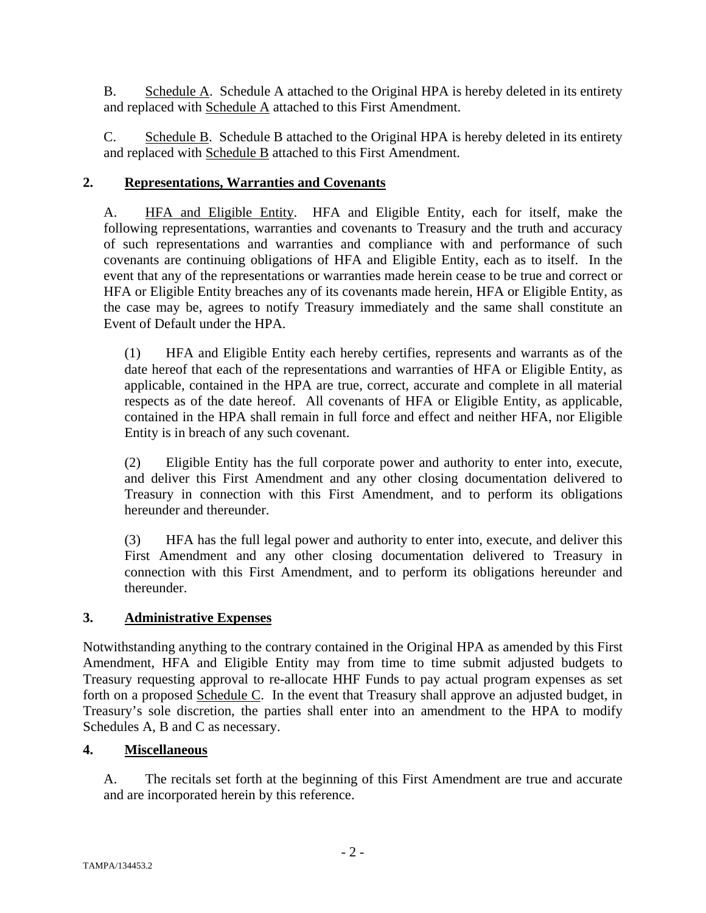B. Schedule A. Schedule A attached to the Original HPA is hereby deleted in its entirety and replaced with Schedule A attached to this First Amendment.

C. Schedule B. Schedule B attached to the Original HPA is hereby deleted in its entirety and replaced with **Schedule B** attached to this First Amendment.

#### **2. Representations, Warranties and Covenants**

A. HFA and Eligible Entity. HFA and Eligible Entity, each for itself, make the following representations, warranties and covenants to Treasury and the truth and accuracy of such representations and warranties and compliance with and performance of such covenants are continuing obligations of HFA and Eligible Entity, each as to itself. In the event that any of the representations or warranties made herein cease to be true and correct or HFA or Eligible Entity breaches any of its covenants made herein, HFA or Eligible Entity, as the case may be, agrees to notify Treasury immediately and the same shall constitute an Event of Default under the HPA.

(1) HFA and Eligible Entity each hereby certifies, represents and warrants as of the date hereof that each of the representations and warranties of HFA or Eligible Entity, as applicable, contained in the HPA are true, correct, accurate and complete in all material respects as of the date hereof. All covenants of HFA or Eligible Entity, as applicable, contained in the HPA shall remain in full force and effect and neither HFA, nor Eligible Entity is in breach of any such covenant.

(2) Eligible Entity has the full corporate power and authority to enter into, execute, and deliver this First Amendment and any other closing documentation delivered to Treasury in connection with this First Amendment, and to perform its obligations hereunder and thereunder.

(3) HFA has the full legal power and authority to enter into, execute, and deliver this First Amendment and any other closing documentation delivered to Treasury in connection with this First Amendment, and to perform its obligations hereunder and thereunder.

#### **3. Administrative Expenses**

Notwithstanding anything to the contrary contained in the Original HPA as amended by this First Amendment, HFA and Eligible Entity may from time to time submit adjusted budgets to Treasury requesting approval to re-allocate HHF Funds to pay actual program expenses as set forth on a proposed Schedule C. In the event that Treasury shall approve an adjusted budget, in Treasury's sole discretion, the parties shall enter into an amendment to the HPA to modify Schedules A, B and C as necessary.

#### **4. Miscellaneous**

A. The recitals set forth at the beginning of this First Amendment are true and accurate and are incorporated herein by this reference.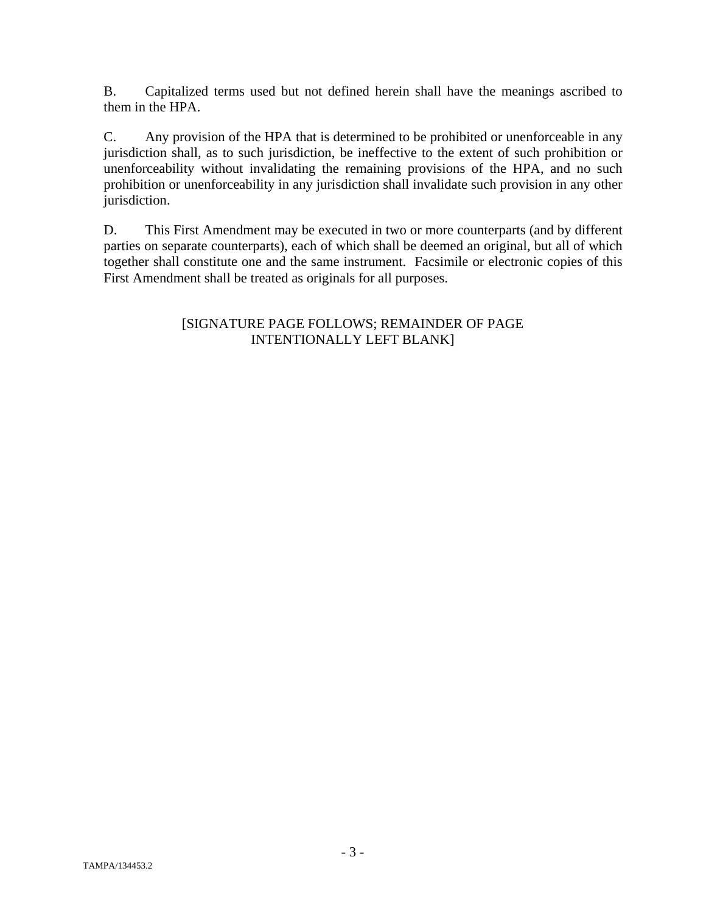B. Capitalized terms used but not defined herein shall have the meanings ascribed to them in the HPA.

C. Any provision of the HPA that is determined to be prohibited or unenforceable in any jurisdiction shall, as to such jurisdiction, be ineffective to the extent of such prohibition or unenforceability without invalidating the remaining provisions of the HPA, and no such prohibition or unenforceability in any jurisdiction shall invalidate such provision in any other jurisdiction.

D. This First Amendment may be executed in two or more counterparts (and by different parties on separate counterparts), each of which shall be deemed an original, but all of which together shall constitute one and the same instrument. Facsimile or electronic copies of this First Amendment shall be treated as originals for all purposes.

#### [SIGNATURE PAGE FOLLOWS; REMAINDER OF PAGE INTENTIONALLY LEFT BLANK]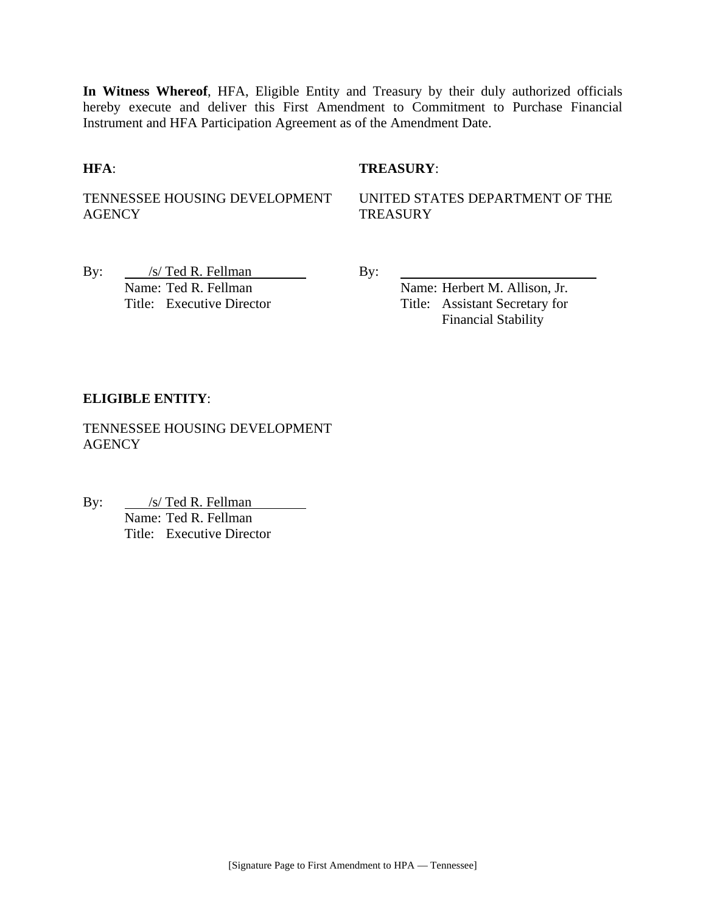**In Witness Whereof**, HFA, Eligible Entity and Treasury by their duly authorized officials hereby execute and deliver this First Amendment to Commitment to Purchase Financial Instrument and HFA Participation Agreement as of the Amendment Date.

#### **HFA**: **TREASURY**:

TENNESSEE HOUSING DEVELOPMENT AGENCY

UNITED STATES DEPARTMENT OF THE **TREASURY** 

By:  $\frac{|s| \text{ Ted R. Fellman}}{s}$  By: Name: Ted R. Fellman Name: Herbert M. Allison, Jr.

Title: Executive Director Title: Assistant Secretary for Financial Stability

#### **ELIGIBLE ENTITY**:

TENNESSEE HOUSING DEVELOPMENT **AGENCY** 

By: <u>/s/ Ted R. Fellman</u> Name: Ted R. Fellman Title: Executive Director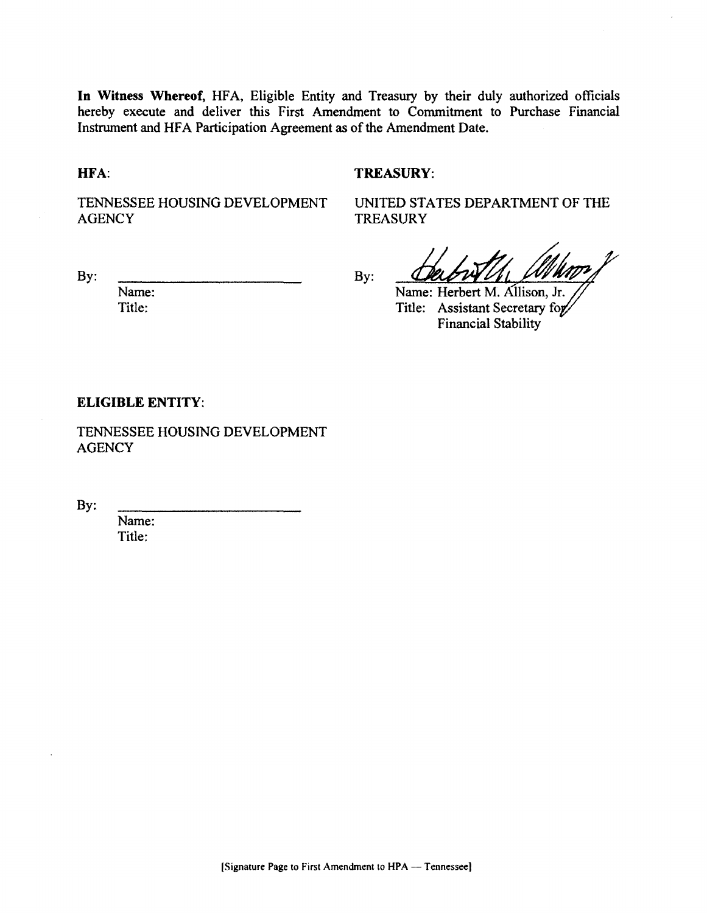In Witness Whereof, HFA, Eligible Entity and Treasury by their duly authorized officials hereby execute and deliver this First Amendment to Commitment to Purchase Financial Instrument and HFA Participation Agreement as of the Amendment Date.

HFA:

#### **TREASURY:**

TENNESSEE HOUSING DEVELOPMENT **AGENCY** 

UNITED STATES DEPARTMENT OF THE **TREASURY** 

By:

By:

Name: Herbert M. Allison, Jr. Title: Assistant Secretary for **Financial Stability** 

#### **ELIGIBLE ENTITY:**

Name:

Title:

TENNESSEE HOUSING DEVELOPMENT **AGENCY** 

By:

Name: Title: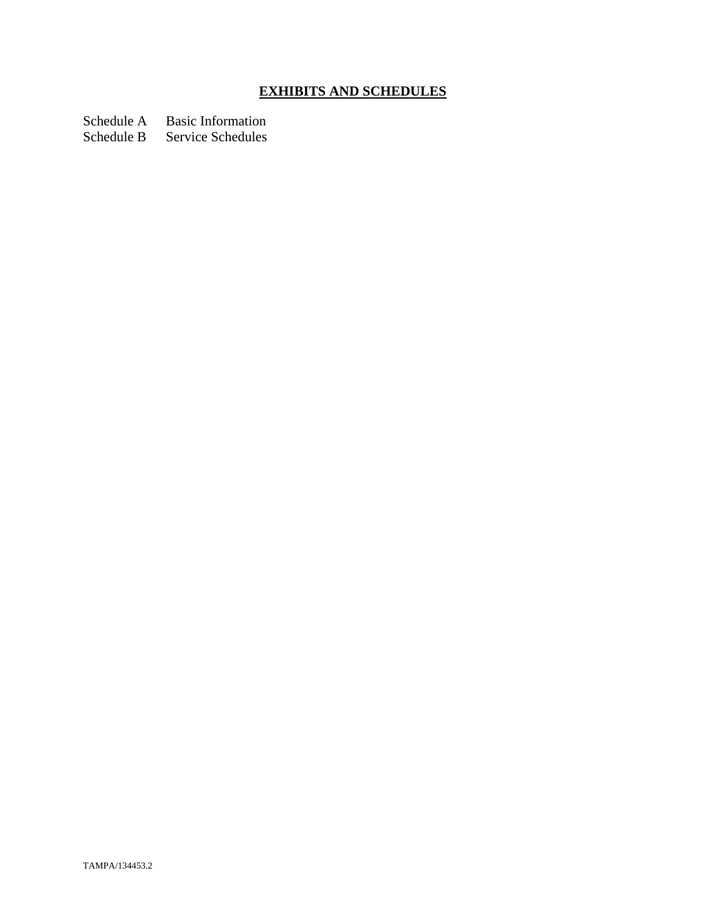## **EXHIBITS AND SCHEDULES**

Schedule A Basic Information<br>Schedule B Service Schedules

Service Schedules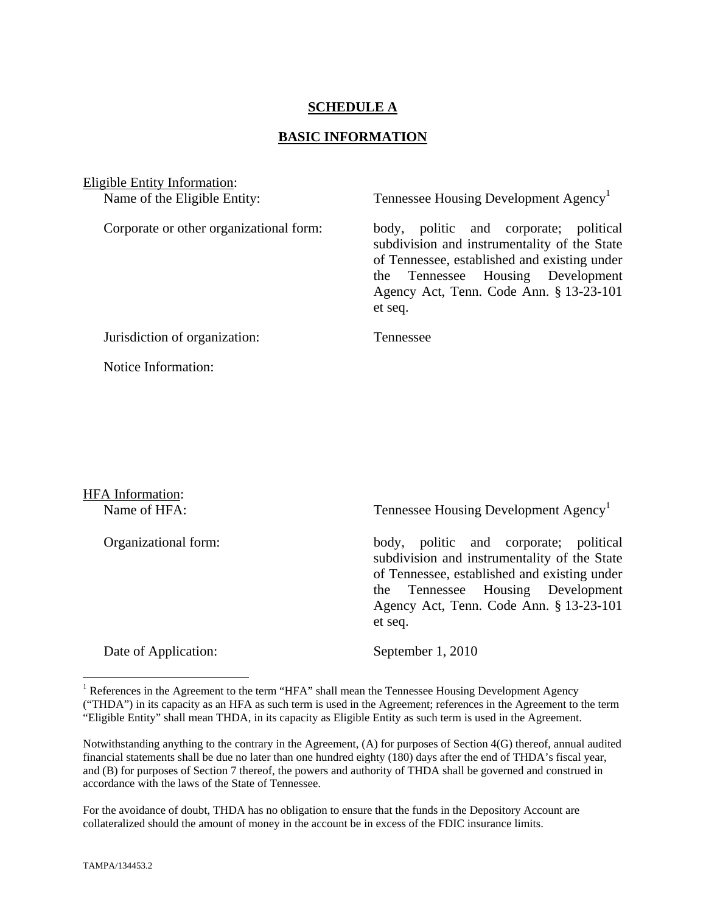#### **SCHEDULE A**

#### **BASIC INFORMATION**

Eligible Entity Information: Name of the Eligible Entity: Tennessee Housing Development Agency<sup>1</sup> Corporate or other organizational form: body, politic and corporate; political subdivision and instrumentality of the State of Tennessee, established and existing under the Tennessee Housing Development Agency Act, Tenn. Code Ann. § 13-23-101 et seq. Jurisdiction of organization: Tennessee Notice Information:

# HFA Information:

Name of HFA: Tennessee Housing Development Agency<sup>1</sup>

Organizational form: body, politic and corporate; political subdivision and instrumentality of the State of Tennessee, established and existing under the Tennessee Housing Development Agency Act, Tenn. Code Ann. § 13-23-101 et seq.

Date of Application: September 1, 2010

For the avoidance of doubt, THDA has no obligation to ensure that the funds in the Depository Account are collateralized should the amount of money in the account be in excess of the FDIC insurance limits.

1

<sup>&</sup>lt;sup>1</sup> References in the Agreement to the term "HFA" shall mean the Tennessee Housing Development Agency ("THDA") in its capacity as an HFA as such term is used in the Agreement; references in the Agreement to the term "Eligible Entity" shall mean THDA, in its capacity as Eligible Entity as such term is used in the Agreement.

Notwithstanding anything to the contrary in the Agreement, (A) for purposes of Section 4(G) thereof, annual audited financial statements shall be due no later than one hundred eighty (180) days after the end of THDA's fiscal year, and (B) for purposes of Section 7 thereof, the powers and authority of THDA shall be governed and construed in accordance with the laws of the State of Tennessee.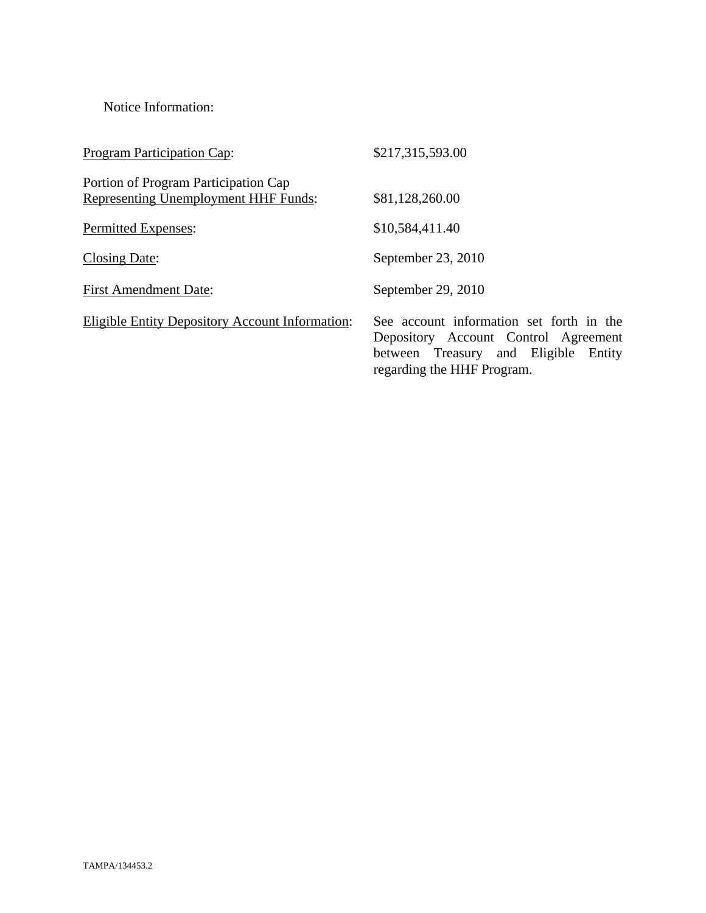Notice Information:

| <b>Program Participation Cap:</b>                                                   | \$217,315,593.00                                                                                                                                       |
|-------------------------------------------------------------------------------------|--------------------------------------------------------------------------------------------------------------------------------------------------------|
| Portion of Program Participation Cap<br><b>Representing Unemployment HHF Funds:</b> | \$81,128,260.00                                                                                                                                        |
| <b>Permitted Expenses:</b>                                                          | \$10,584,411.40                                                                                                                                        |
| Closing Date:                                                                       | September 23, 2010                                                                                                                                     |
| <b>First Amendment Date:</b>                                                        | September 29, 2010                                                                                                                                     |
| <b>Eligible Entity Depository Account Information:</b>                              | See account information set forth in the<br>Depository Account Control Agreement<br>between Treasury and Eligible Entity<br>regarding the HHF Program. |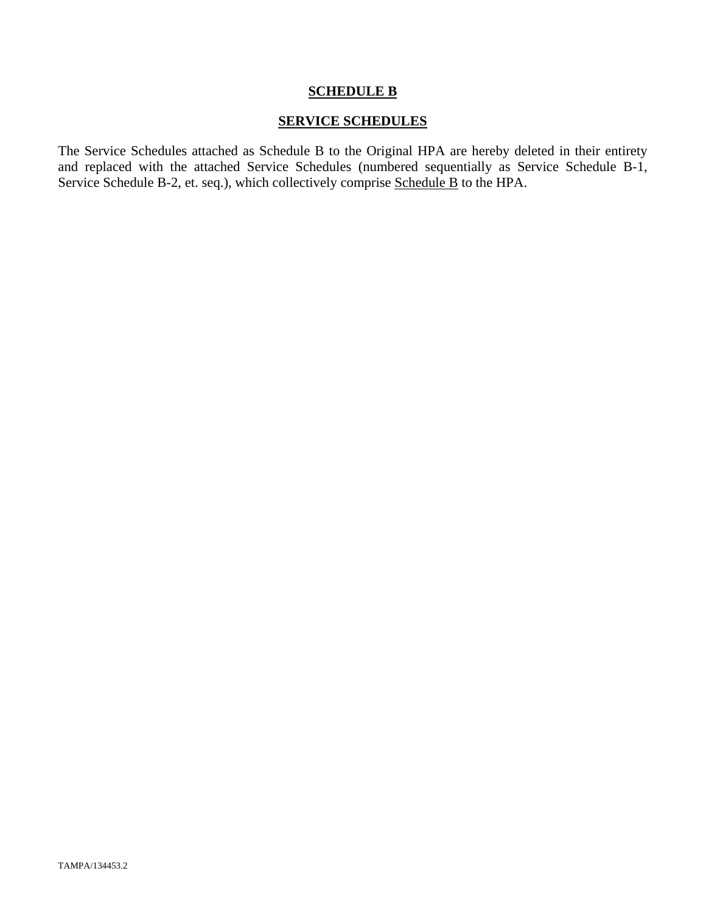#### **SCHEDULE B**

#### **SERVICE SCHEDULES**

The Service Schedules attached as Schedule B to the Original HPA are hereby deleted in their entirety and replaced with the attached Service Schedules (numbered sequentially as Service Schedule B-1, Service Schedule B-2, et. seq.), which collectively comprise Schedule B to the HPA.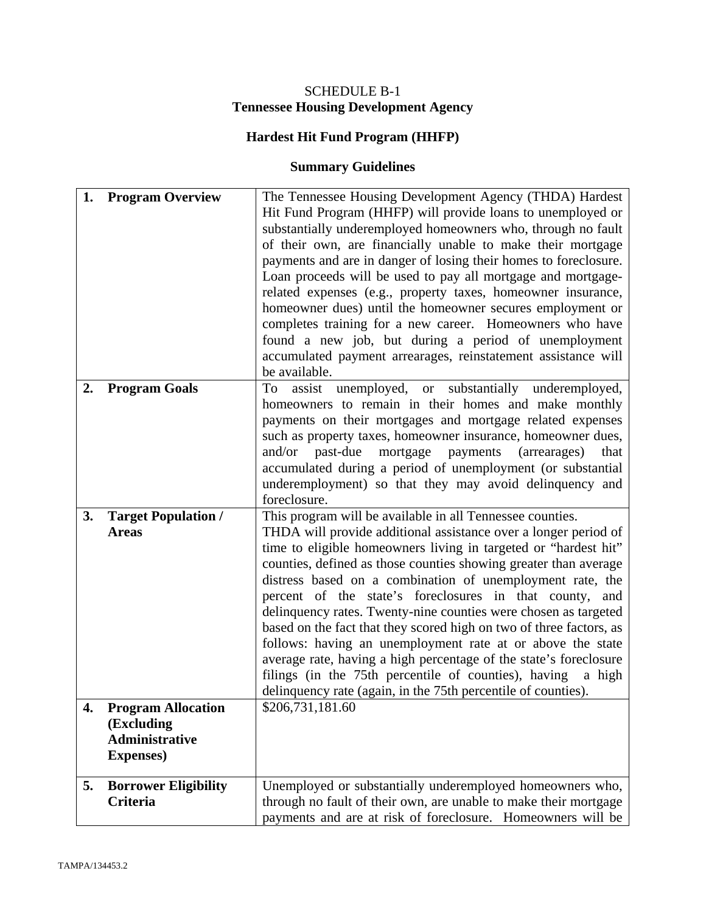### SCHEDULE B-1 **Tennessee Housing Development Agency**

## **Hardest Hit Fund Program (HHFP)**

### **Summary Guidelines**

| 1. | <b>Program Overview</b>                                                               | The Tennessee Housing Development Agency (THDA) Hardest<br>Hit Fund Program (HHFP) will provide loans to unemployed or<br>substantially underemployed homeowners who, through no fault<br>of their own, are financially unable to make their mortgage<br>payments and are in danger of losing their homes to foreclosure.<br>Loan proceeds will be used to pay all mortgage and mortgage-<br>related expenses (e.g., property taxes, homeowner insurance,<br>homeowner dues) until the homeowner secures employment or<br>completes training for a new career. Homeowners who have<br>found a new job, but during a period of unemployment<br>accumulated payment arrearages, reinstatement assistance will                                                                                                 |
|----|---------------------------------------------------------------------------------------|-------------------------------------------------------------------------------------------------------------------------------------------------------------------------------------------------------------------------------------------------------------------------------------------------------------------------------------------------------------------------------------------------------------------------------------------------------------------------------------------------------------------------------------------------------------------------------------------------------------------------------------------------------------------------------------------------------------------------------------------------------------------------------------------------------------|
| 2. | <b>Program Goals</b>                                                                  | be available.<br>unemployed, or substantially underemployed,<br>assist<br>To<br>homeowners to remain in their homes and make monthly<br>payments on their mortgages and mortgage related expenses<br>such as property taxes, homeowner insurance, homeowner dues,<br>and/or<br>past-due<br>payments<br>mortgage<br>(arrearages)<br>that<br>accumulated during a period of unemployment (or substantial<br>underemployment) so that they may avoid delinquency and<br>foreclosure.                                                                                                                                                                                                                                                                                                                           |
| 3. | <b>Target Population /</b><br><b>Areas</b>                                            | This program will be available in all Tennessee counties.<br>THDA will provide additional assistance over a longer period of<br>time to eligible homeowners living in targeted or "hardest hit"<br>counties, defined as those counties showing greater than average<br>distress based on a combination of unemployment rate, the<br>percent of the state's foreclosures in that county, and<br>delinquency rates. Twenty-nine counties were chosen as targeted<br>based on the fact that they scored high on two of three factors, as<br>follows: having an unemployment rate at or above the state<br>average rate, having a high percentage of the state's foreclosure<br>filings (in the 75th percentile of counties), having<br>a high<br>delinquency rate (again, in the 75th percentile of counties). |
| 4. | <b>Program Allocation</b><br>(Excluding<br><b>Administrative</b><br><b>Expenses</b> ) | \$206,731,181.60                                                                                                                                                                                                                                                                                                                                                                                                                                                                                                                                                                                                                                                                                                                                                                                            |
| 5. | <b>Borrower Eligibility</b><br>Criteria                                               | Unemployed or substantially underemployed homeowners who,<br>through no fault of their own, are unable to make their mortgage<br>payments and are at risk of foreclosure. Homeowners will be                                                                                                                                                                                                                                                                                                                                                                                                                                                                                                                                                                                                                |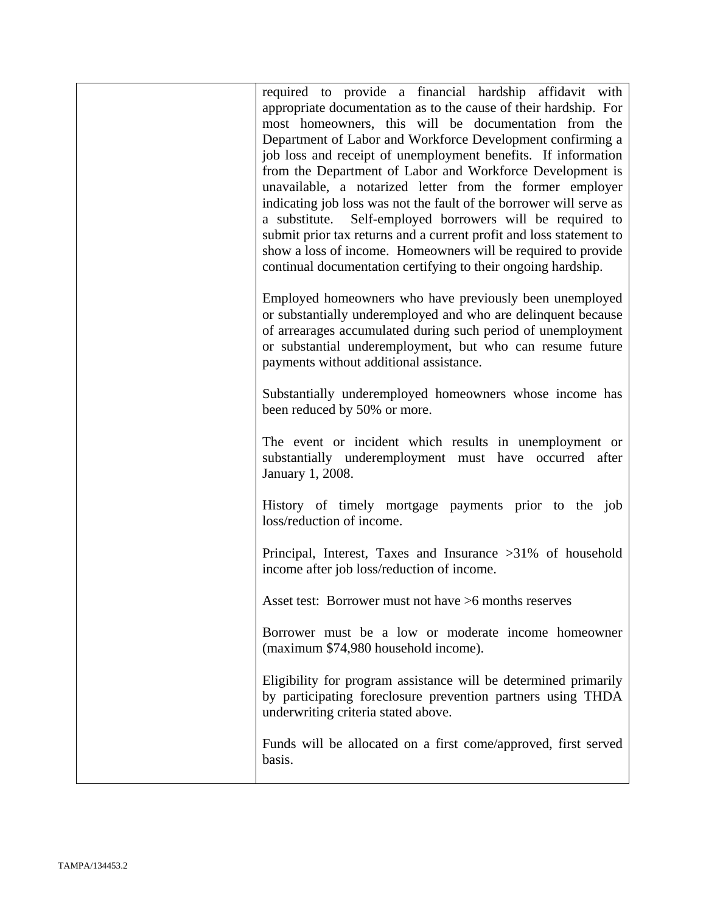| required to provide a financial hardship affidavit with<br>appropriate documentation as to the cause of their hardship. For<br>most homeowners, this will be documentation from the<br>Department of Labor and Workforce Development confirming a<br>job loss and receipt of unemployment benefits. If information<br>from the Department of Labor and Workforce Development is<br>unavailable, a notarized letter from the former employer<br>indicating job loss was not the fault of the borrower will serve as<br>Self-employed borrowers will be required to<br>a substitute.<br>submit prior tax returns and a current profit and loss statement to<br>show a loss of income. Homeowners will be required to provide<br>continual documentation certifying to their ongoing hardship. |
|---------------------------------------------------------------------------------------------------------------------------------------------------------------------------------------------------------------------------------------------------------------------------------------------------------------------------------------------------------------------------------------------------------------------------------------------------------------------------------------------------------------------------------------------------------------------------------------------------------------------------------------------------------------------------------------------------------------------------------------------------------------------------------------------|
| Employed homeowners who have previously been unemployed<br>or substantially underemployed and who are delinquent because<br>of arrearages accumulated during such period of unemployment<br>or substantial underemployment, but who can resume future<br>payments without additional assistance.                                                                                                                                                                                                                                                                                                                                                                                                                                                                                            |
| Substantially underemployed homeowners whose income has<br>been reduced by 50% or more.                                                                                                                                                                                                                                                                                                                                                                                                                                                                                                                                                                                                                                                                                                     |
| The event or incident which results in unemployment or<br>substantially underemployment must have occurred after<br>January 1, 2008.                                                                                                                                                                                                                                                                                                                                                                                                                                                                                                                                                                                                                                                        |
| History of timely mortgage payments prior to the job<br>loss/reduction of income.                                                                                                                                                                                                                                                                                                                                                                                                                                                                                                                                                                                                                                                                                                           |
| Principal, Interest, Taxes and Insurance >31% of household<br>income after job loss/reduction of income.                                                                                                                                                                                                                                                                                                                                                                                                                                                                                                                                                                                                                                                                                    |
| Asset test: Borrower must not have >6 months reserves                                                                                                                                                                                                                                                                                                                                                                                                                                                                                                                                                                                                                                                                                                                                       |
| Borrower must be a low or moderate income homeowner<br>(maximum \$74,980 household income).                                                                                                                                                                                                                                                                                                                                                                                                                                                                                                                                                                                                                                                                                                 |
| Eligibility for program assistance will be determined primarily<br>by participating foreclosure prevention partners using THDA<br>underwriting criteria stated above.                                                                                                                                                                                                                                                                                                                                                                                                                                                                                                                                                                                                                       |
| Funds will be allocated on a first come/approved, first served<br>basis.                                                                                                                                                                                                                                                                                                                                                                                                                                                                                                                                                                                                                                                                                                                    |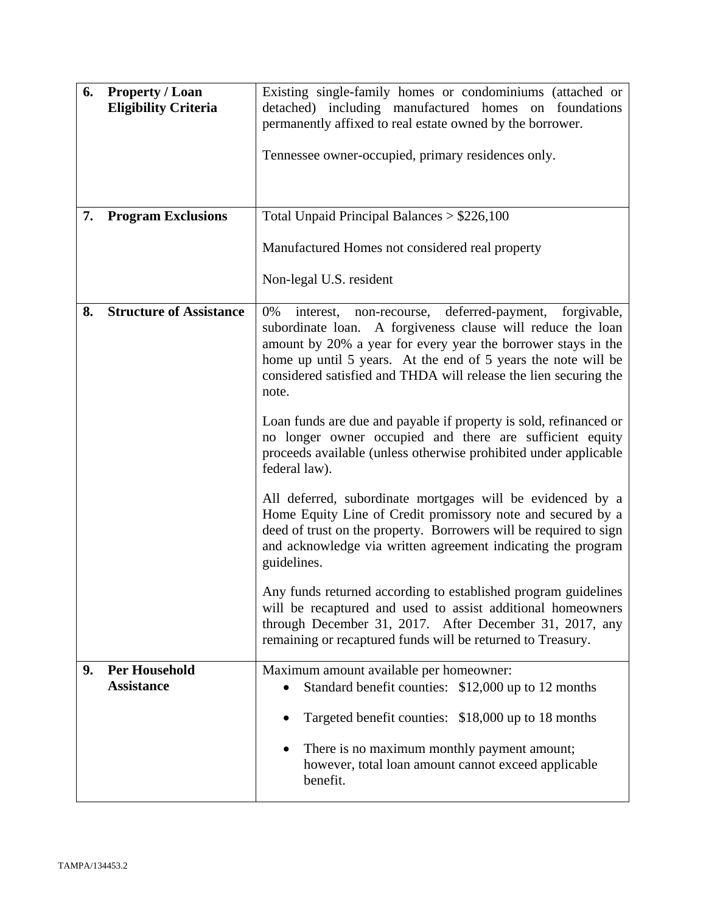| 6. | <b>Property / Loan</b><br><b>Eligibility Criteria</b> | Existing single-family homes or condominiums (attached or<br>detached) including manufactured homes on foundations<br>permanently affixed to real estate owned by the borrower.<br>Tennessee owner-occupied, primary residences only.                                                                                                              |
|----|-------------------------------------------------------|----------------------------------------------------------------------------------------------------------------------------------------------------------------------------------------------------------------------------------------------------------------------------------------------------------------------------------------------------|
| 7. | <b>Program Exclusions</b>                             | Total Unpaid Principal Balances $> $226,100$                                                                                                                                                                                                                                                                                                       |
|    |                                                       | Manufactured Homes not considered real property                                                                                                                                                                                                                                                                                                    |
|    |                                                       | Non-legal U.S. resident                                                                                                                                                                                                                                                                                                                            |
| 8. | <b>Structure of Assistance</b>                        | deferred-payment,<br>forgivable,<br>0%<br>interest,<br>non-recourse,<br>subordinate loan. A forgiveness clause will reduce the loan<br>amount by 20% a year for every year the borrower stays in the<br>home up until 5 years. At the end of 5 years the note will be<br>considered satisfied and THDA will release the lien securing the<br>note. |
|    |                                                       | Loan funds are due and payable if property is sold, refinanced or<br>no longer owner occupied and there are sufficient equity<br>proceeds available (unless otherwise prohibited under applicable<br>federal law).                                                                                                                                 |
|    |                                                       | All deferred, subordinate mortgages will be evidenced by a<br>Home Equity Line of Credit promissory note and secured by a<br>deed of trust on the property. Borrowers will be required to sign<br>and acknowledge via written agreement indicating the program<br>guidelines.                                                                      |
|    |                                                       | Any funds returned according to established program guidelines<br>will be recaptured and used to assist additional homeowners<br>through December 31, 2017. After December 31, 2017, any<br>remaining or recaptured funds will be returned to Treasury.                                                                                            |
| 9. | <b>Per Household</b><br><b>Assistance</b>             | Maximum amount available per homeowner:<br>Standard benefit counties: \$12,000 up to 12 months<br>$\bullet$                                                                                                                                                                                                                                        |
|    |                                                       | Targeted benefit counties: \$18,000 up to 18 months                                                                                                                                                                                                                                                                                                |
|    |                                                       | There is no maximum monthly payment amount;<br>$\bullet$<br>however, total loan amount cannot exceed applicable<br>benefit.                                                                                                                                                                                                                        |